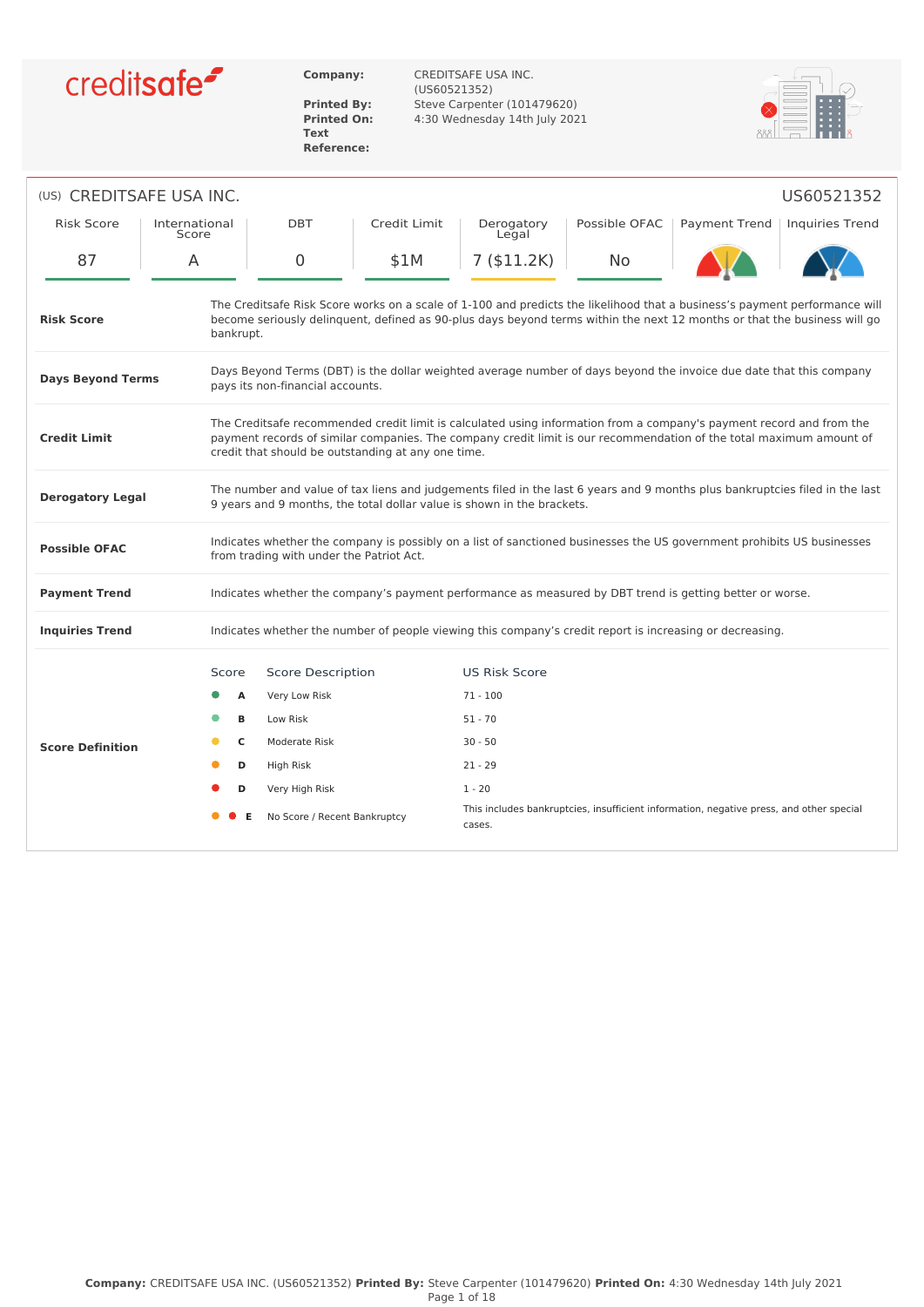

**Text Reference:**

**Company:** CREDITSAFE USA INC. (US60521352) **Printed By:** Steve Carpenter (101479620)<br>**Printed On:** 4:30 Wednesday 14th July 202 **Printed On:** 4:30 Wednesday 14th July 2021



| (US) CREDITSAFE USA INC.                                                                                                                                                                                                                                                                                                 |                                                                                                                                                                                                       |              |                      |               | US60521352                                                                                                             |  |  |
|--------------------------------------------------------------------------------------------------------------------------------------------------------------------------------------------------------------------------------------------------------------------------------------------------------------------------|-------------------------------------------------------------------------------------------------------------------------------------------------------------------------------------------------------|--------------|----------------------|---------------|------------------------------------------------------------------------------------------------------------------------|--|--|
| <b>Risk Score</b><br>International<br>Score                                                                                                                                                                                                                                                                              | <b>DBT</b>                                                                                                                                                                                            | Credit Limit | Derogatory<br>Legal  | Possible OFAC | Payment Trend<br><b>Inquiries Trend</b>                                                                                |  |  |
| 87<br>A                                                                                                                                                                                                                                                                                                                  | 0                                                                                                                                                                                                     | \$1M         | 7(\$11.2K)           | No            |                                                                                                                        |  |  |
| The Creditsafe Risk Score works on a scale of 1-100 and predicts the likelihood that a business's payment performance will<br>become seriously delinguent, defined as 90-plus days beyond terms within the next 12 months or that the business will go<br><b>Risk Score</b><br>bankrupt.                                 |                                                                                                                                                                                                       |              |                      |               |                                                                                                                        |  |  |
| Days Beyond Terms (DBT) is the dollar weighted average number of days beyond the invoice due date that this company<br><b>Days Beyond Terms</b><br>pays its non-financial accounts.                                                                                                                                      |                                                                                                                                                                                                       |              |                      |               |                                                                                                                        |  |  |
| The Creditsafe recommended credit limit is calculated using information from a company's payment record and from the<br>payment records of similar companies. The company credit limit is our recommendation of the total maximum amount of<br><b>Credit Limit</b><br>credit that should be outstanding at any one time. |                                                                                                                                                                                                       |              |                      |               |                                                                                                                        |  |  |
| <b>Derogatory Legal</b>                                                                                                                                                                                                                                                                                                  | The number and value of tax liens and judgements filed in the last 6 years and 9 months plus bankruptcies filed in the last<br>9 years and 9 months, the total dollar value is shown in the brackets. |              |                      |               |                                                                                                                        |  |  |
| <b>Possible OFAC</b>                                                                                                                                                                                                                                                                                                     | from trading with under the Patriot Act.                                                                                                                                                              |              |                      |               | Indicates whether the company is possibly on a list of sanctioned businesses the US government prohibits US businesses |  |  |
| <b>Payment Trend</b>                                                                                                                                                                                                                                                                                                     | Indicates whether the company's payment performance as measured by DBT trend is getting better or worse.                                                                                              |              |                      |               |                                                                                                                        |  |  |
| <b>Inquiries Trend</b>                                                                                                                                                                                                                                                                                                   | Indicates whether the number of people viewing this company's credit report is increasing or decreasing.                                                                                              |              |                      |               |                                                                                                                        |  |  |
|                                                                                                                                                                                                                                                                                                                          | <b>Score Description</b><br>Score                                                                                                                                                                     |              | <b>US Risk Score</b> |               |                                                                                                                        |  |  |
|                                                                                                                                                                                                                                                                                                                          | A<br>Very Low Risk                                                                                                                                                                                    |              | $71 - 100$           |               |                                                                                                                        |  |  |
|                                                                                                                                                                                                                                                                                                                          | Low Risk<br>B                                                                                                                                                                                         |              | $51 - 70$            |               |                                                                                                                        |  |  |
| <b>Score Definition</b>                                                                                                                                                                                                                                                                                                  | C<br>Moderate Risk                                                                                                                                                                                    |              | $30 - 50$            |               |                                                                                                                        |  |  |
|                                                                                                                                                                                                                                                                                                                          | D<br>High Risk                                                                                                                                                                                        |              | $21 - 29$            |               |                                                                                                                        |  |  |
|                                                                                                                                                                                                                                                                                                                          | D<br>Very High Risk                                                                                                                                                                                   |              | $1 - 20$             |               |                                                                                                                        |  |  |
|                                                                                                                                                                                                                                                                                                                          | No Score / Recent Bankruptcy                                                                                                                                                                          |              | cases.               |               | This includes bankruptcies, insufficient information, negative press, and other special                                |  |  |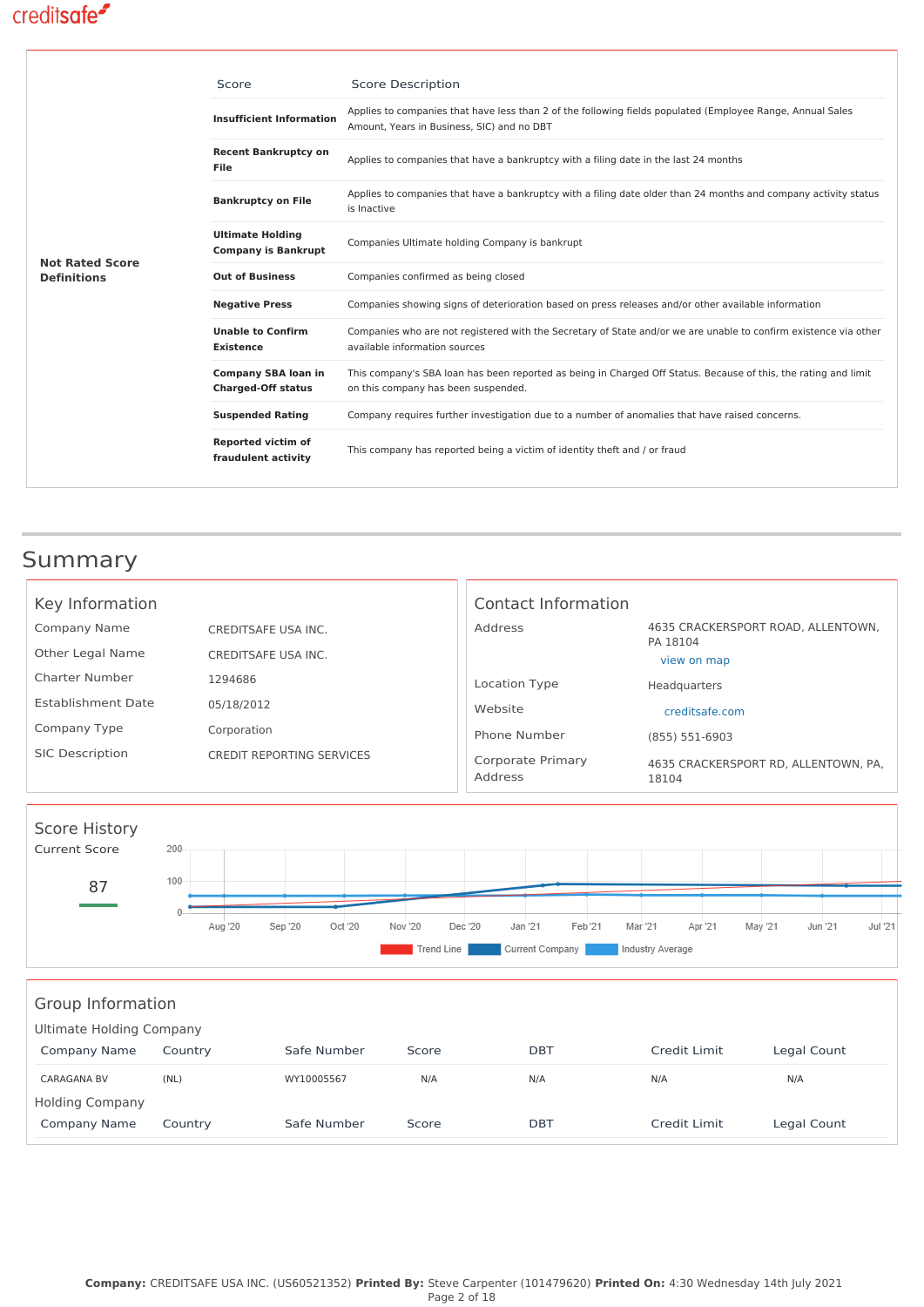|                        | Score                                                   | <b>Score Description</b>                                                                                                                                 |
|------------------------|---------------------------------------------------------|----------------------------------------------------------------------------------------------------------------------------------------------------------|
|                        | <b>Insufficient Information</b>                         | Applies to companies that have less than 2 of the following fields populated (Employee Range, Annual Sales<br>Amount, Years in Business, SIC) and no DBT |
|                        | <b>Recent Bankruptcy on</b><br>File                     | Applies to companies that have a bankruptcy with a filing date in the last 24 months                                                                     |
|                        | <b>Bankruptcy on File</b>                               | Applies to companies that have a bankruptcy with a filing date older than 24 months and company activity status<br>is Inactive                           |
| <b>Not Rated Score</b> | <b>Ultimate Holding</b><br><b>Company is Bankrupt</b>   | Companies Ultimate holding Company is bankrupt                                                                                                           |
| <b>Definitions</b>     | <b>Out of Business</b>                                  | Companies confirmed as being closed                                                                                                                      |
|                        | <b>Negative Press</b>                                   | Companies showing signs of deterioration based on press releases and/or other available information                                                      |
|                        | <b>Unable to Confirm</b><br><b>Existence</b>            | Companies who are not registered with the Secretary of State and/or we are unable to confirm existence via other<br>available information sources        |
|                        | <b>Company SBA loan in</b><br><b>Charged-Off status</b> | This company's SBA loan has been reported as being in Charged Off Status. Because of this, the rating and limit<br>on this company has been suspended.   |
|                        | <b>Suspended Rating</b>                                 | Company requires further investigation due to a number of anomalies that have raised concerns.                                                           |
|                        | Reported victim of<br>fraudulent activity               | This company has reported being a victim of identity theft and / or fraud                                                                                |

# Summary

| Key Information           |                                  | Contact Information          |                                                |
|---------------------------|----------------------------------|------------------------------|------------------------------------------------|
| Company Name              | CREDITSAFE USA INC.              | Address                      | 4635 CRACKERSPORT ROAD, ALLENTOWN,<br>PA 18104 |
| Other Legal Name          | CREDITSAFE USA INC.              |                              | view on map                                    |
| Charter Number            | 1294686                          | Location Type                | Headquarters                                   |
| <b>Establishment Date</b> | 05/18/2012                       | Website                      | creditsafe.com                                 |
| Company Type              | Corporation                      | Phone Number                 | (855) 551-6903                                 |
| <b>SIC Description</b>    | <b>CREDIT REPORTING SERVICES</b> | Corporate Primary<br>Address | 4635 CRACKERSPORT RD. ALLENTOWN. PA.<br>18104  |



### Group Information

| Ultimate Holding Company |         |             |       |            |              |             |  |  |
|--------------------------|---------|-------------|-------|------------|--------------|-------------|--|--|
| Company Name             | Country | Safe Number | Score | <b>DBT</b> | Credit Limit | Legal Count |  |  |
| <b>CARAGANA BV</b>       | (NL)    | WY10005567  | N/A   | N/A        | N/A          | N/A         |  |  |
| <b>Holding Company</b>   |         |             |       |            |              |             |  |  |
| Company Name             | Country | Safe Number | Score | <b>DBT</b> | Credit Limit | Legal Count |  |  |
|                          |         |             |       |            |              |             |  |  |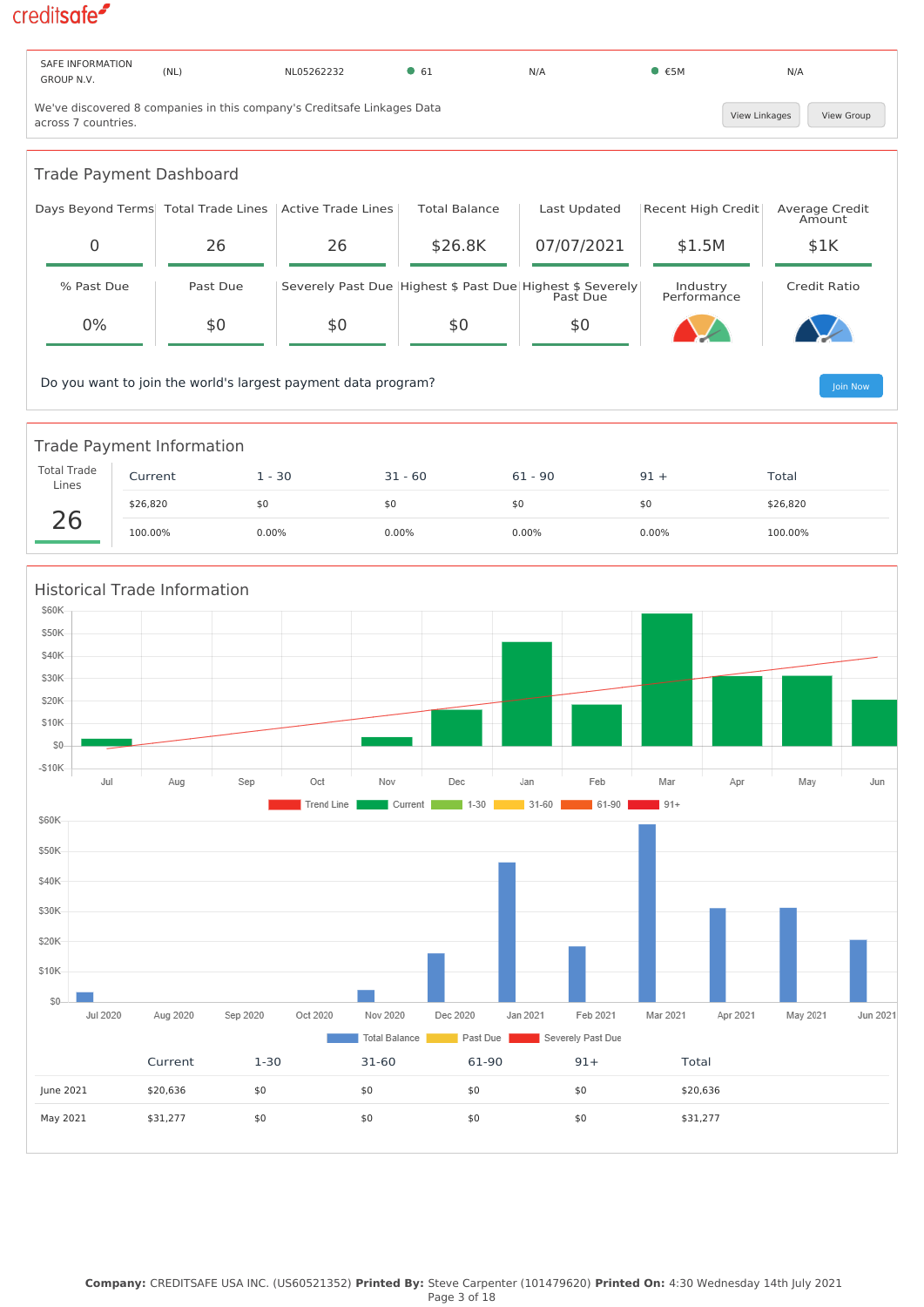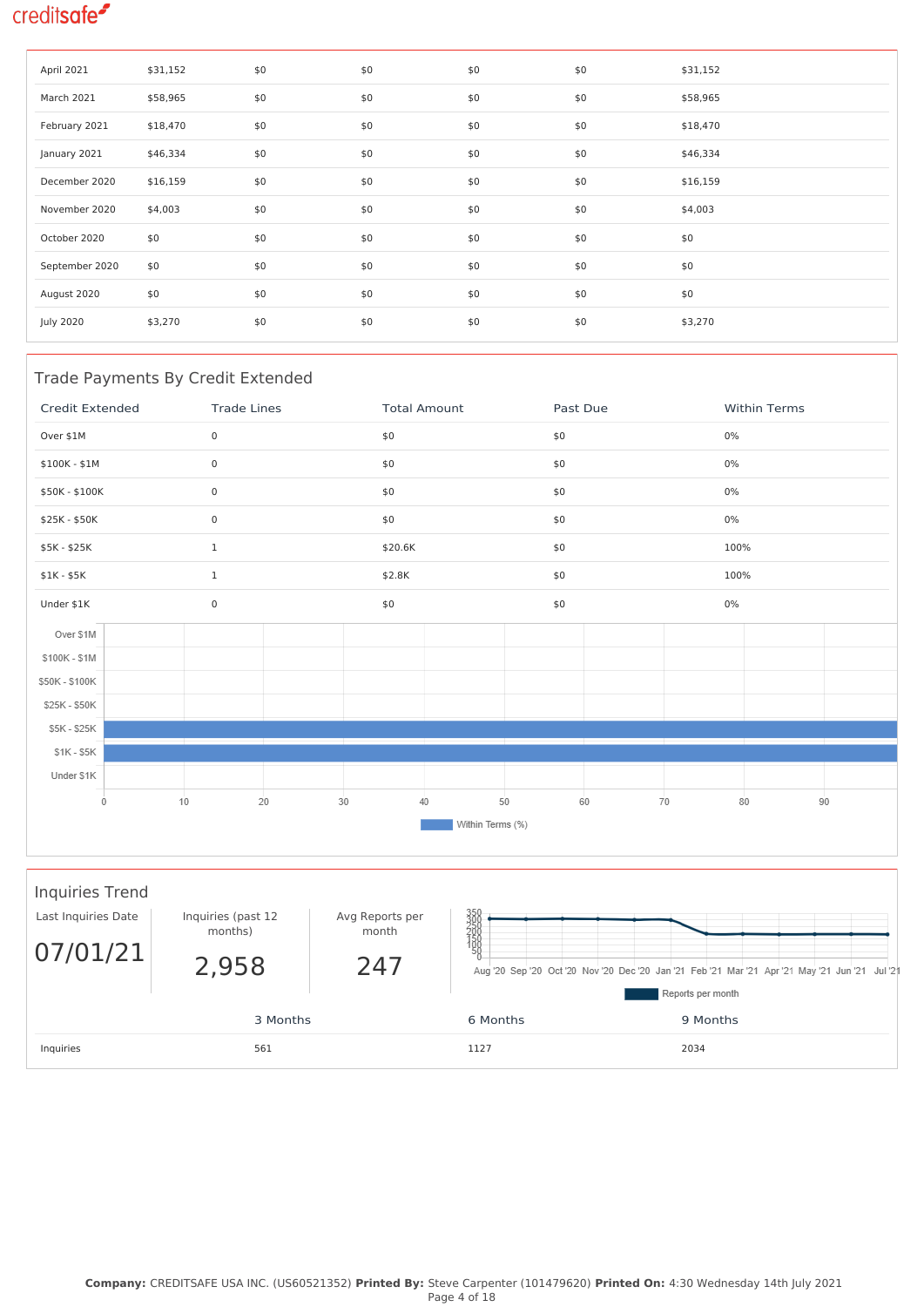| April 2021       | \$31,152 | \$0 | \$0 | \$0 | \$0 | \$31,152 |
|------------------|----------|-----|-----|-----|-----|----------|
| March 2021       | \$58,965 | \$0 | \$0 | \$0 | \$0 | \$58,965 |
| February 2021    | \$18,470 | \$0 | \$0 | \$0 | \$0 | \$18,470 |
| January 2021     | \$46,334 | \$0 | \$0 | \$0 | \$0 | \$46,334 |
| December 2020    | \$16,159 | \$0 | \$0 | \$0 | \$0 | \$16,159 |
| November 2020    | \$4,003  | \$0 | \$0 | \$0 | \$0 | \$4,003  |
| October 2020     | \$0      | \$0 | \$0 | \$0 | \$0 | \$0      |
| September 2020   | \$0      | \$0 | \$0 | \$0 | \$0 | \$0      |
| August 2020      | \$0      | \$0 | \$0 | \$0 | \$0 | \$0      |
| <b>July 2020</b> | \$3,270  | \$0 | \$0 | \$0 | \$0 | \$3,270  |

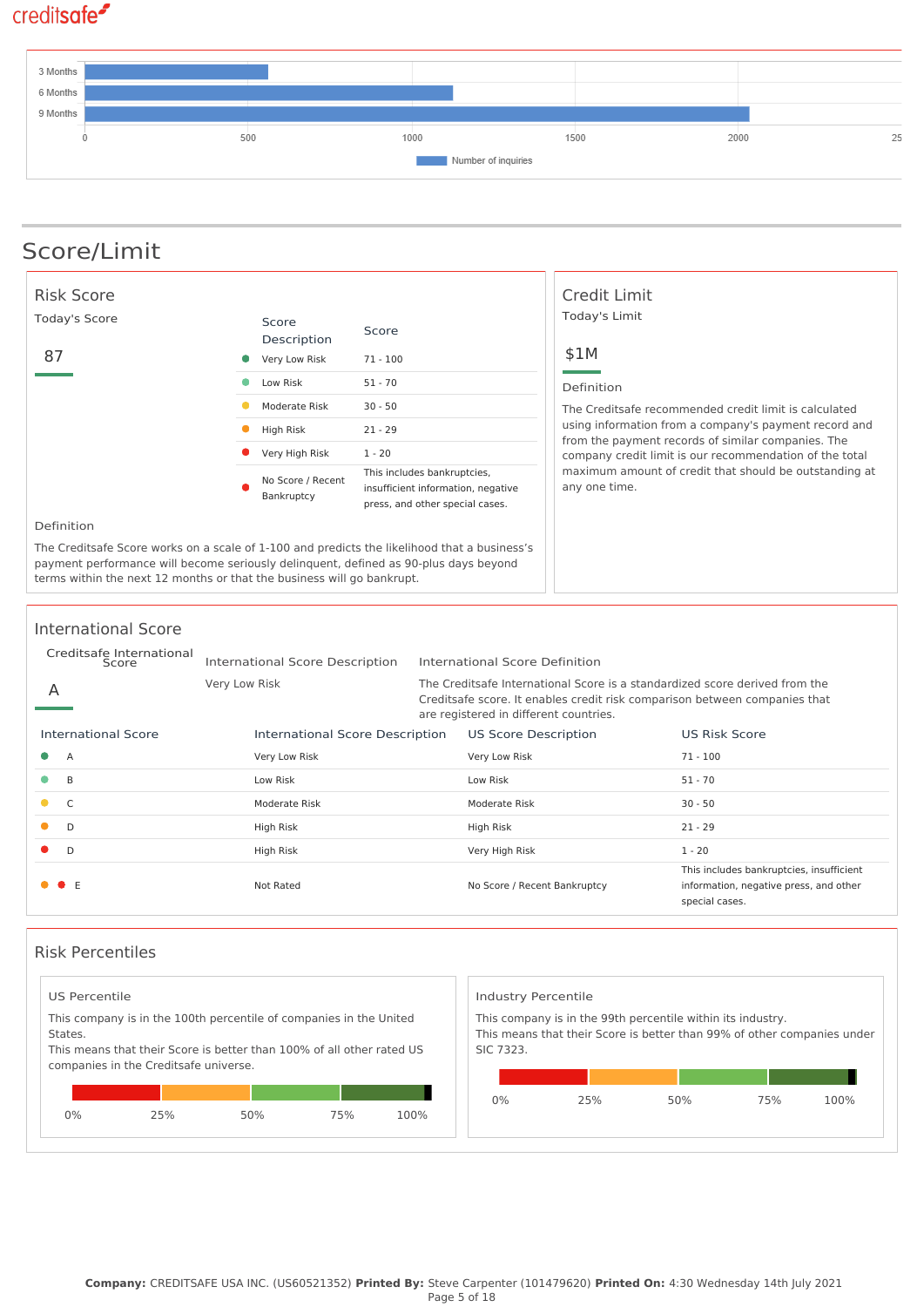

# Score/Limit

| <b>Risk Score</b>                                                                                                                                                                                                                                              |                                       |                                                                                                      | Credit Limit                                                                                                |  |  |  |
|----------------------------------------------------------------------------------------------------------------------------------------------------------------------------------------------------------------------------------------------------------------|---------------------------------------|------------------------------------------------------------------------------------------------------|-------------------------------------------------------------------------------------------------------------|--|--|--|
| Today's Score<br>87                                                                                                                                                                                                                                            | Score<br>Description<br>Very Low Risk | Score<br>$71 - 100$                                                                                  | Today's Limit<br>\$1M                                                                                       |  |  |  |
|                                                                                                                                                                                                                                                                | Low Risk                              | $51 - 70$                                                                                            | Definition                                                                                                  |  |  |  |
|                                                                                                                                                                                                                                                                | Moderate Risk                         | $30 - 50$                                                                                            | The Creditsafe recommended credit limit is calculated                                                       |  |  |  |
|                                                                                                                                                                                                                                                                | High Risk                             | $21 - 29$                                                                                            | using information from a company's payment record and<br>from the payment records of similar companies. The |  |  |  |
|                                                                                                                                                                                                                                                                | Very High Risk                        | $1 - 20$                                                                                             | company credit limit is our recommendation of the total                                                     |  |  |  |
|                                                                                                                                                                                                                                                                | No Score / Recent<br>Bankruptcy       | This includes bankruptcies,<br>insufficient information, negative<br>press, and other special cases. | maximum amount of credit that should be outstanding at<br>any one time.                                     |  |  |  |
| Definition                                                                                                                                                                                                                                                     |                                       |                                                                                                      |                                                                                                             |  |  |  |
| The Creditsafe Score works on a scale of 1-100 and predicts the likelihood that a business's<br>payment performance will become seriously delinguent, defined as 90-plus days beyond<br>terms within the next 12 months or that the business will go bankrupt. |                                       |                                                                                                      |                                                                                                             |  |  |  |

#### International Score

|   | Creditsafe International<br>Score |               | International Score Description | International Score Definition                                                                                                                                                                      |                                                                                                      |
|---|-----------------------------------|---------------|---------------------------------|-----------------------------------------------------------------------------------------------------------------------------------------------------------------------------------------------------|------------------------------------------------------------------------------------------------------|
| A |                                   | Very Low Risk |                                 | The Creditsafe International Score is a standardized score derived from the<br>Creditsafe score. It enables credit risk comparison between companies that<br>are registered in different countries. |                                                                                                      |
|   | <b>International Score</b>        |               | International Score Description | <b>US Score Description</b>                                                                                                                                                                         | <b>US Risk Score</b>                                                                                 |
|   | $\overline{A}$                    |               | Very Low Risk                   | Very Low Risk                                                                                                                                                                                       | $71 - 100$                                                                                           |
|   | B                                 |               | Low Risk                        | Low Risk                                                                                                                                                                                            | $51 - 70$                                                                                            |
|   | C                                 |               | Moderate Risk                   | Moderate Risk                                                                                                                                                                                       | $30 - 50$                                                                                            |
|   | D                                 |               | High Risk                       | High Risk                                                                                                                                                                                           | $21 - 29$                                                                                            |
|   | D                                 |               | High Risk                       | Very High Risk                                                                                                                                                                                      | $1 - 20$                                                                                             |
|   | $\bullet$ E                       |               | Not Rated                       | No Score / Recent Bankruptcy                                                                                                                                                                        | This includes bankruptcies, insufficient<br>information, negative press, and other<br>special cases. |

#### Risk Percentiles

| States. | US Percentile<br>This company is in the 100th percentile of companies in the United<br>This means that their Score is better than 100% of all other rated US<br>companies in the Creditsafe universe. |     |     |      | Industry Percentile<br>SIC 7323. |     | This company is in the 99th percentile within its industry.<br>This means that their Score is better than 99% of other companies under |     |      |
|---------|-------------------------------------------------------------------------------------------------------------------------------------------------------------------------------------------------------|-----|-----|------|----------------------------------|-----|----------------------------------------------------------------------------------------------------------------------------------------|-----|------|
| $0\%$   | 25%                                                                                                                                                                                                   | 50% | 75% | 100% | 0%                               | 25% | 50%                                                                                                                                    | 75% | 100% |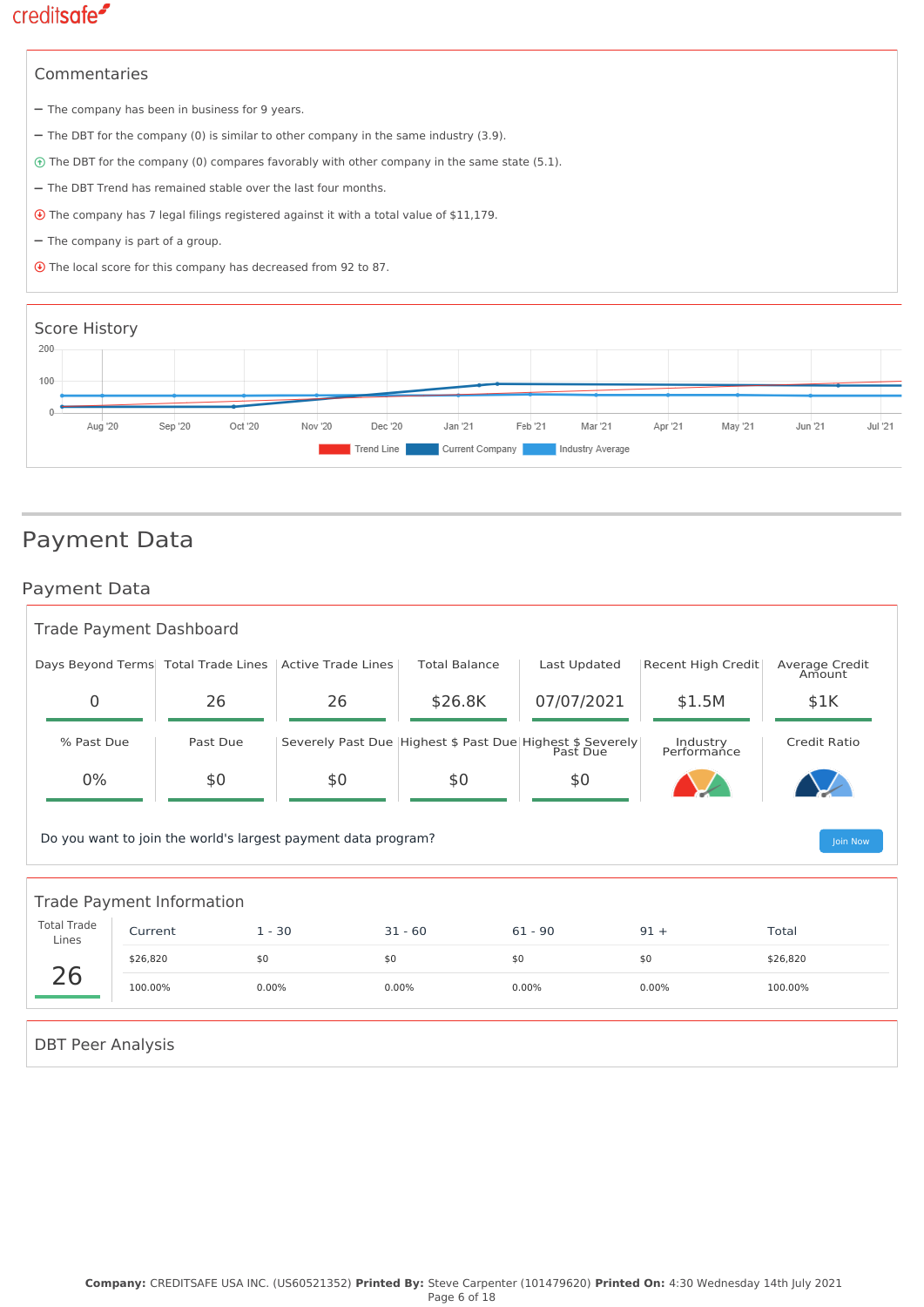# Commentaries - The company has been in business for 9 years. - The DBT for the company (0) is similar to other company in the same industry (3.9). The DBT for the company (0) compares favorably with other company in the same state (5.1).  $-$  The DBT Trend has remained stable over the last four months. The company has 7 legal filings registered against it with a total value of \$11,179. - The company is part of a group. The local score for this company has decreased from 92 to 87.



### Payment Data

### Payment Data

| <b>Trade Payment Dashboard</b>   |                                                                           |                                     |                    |                      |                                                           |                         |                          |  |  |
|----------------------------------|---------------------------------------------------------------------------|-------------------------------------|--------------------|----------------------|-----------------------------------------------------------|-------------------------|--------------------------|--|--|
|                                  |                                                                           | Days Beyond Terms Total Trade Lines | Active Trade Lines | <b>Total Balance</b> | Last Updated                                              | Recent High Credit      | Average Credit<br>Amount |  |  |
| $\Omega$                         |                                                                           | 26                                  | 26                 | \$26.8K              | 07/07/2021                                                | \$1.5M                  | \$1K                     |  |  |
| % Past Due                       |                                                                           | Past Due                            |                    |                      | Severely Past Due Highest \$ Past Due Highest \$ Severely | Industry<br>Performance | <b>Credit Ratio</b>      |  |  |
| 0%                               |                                                                           | \$0                                 | \$0                | \$0                  | \$0                                                       |                         |                          |  |  |
|                                  | Do you want to join the world's largest payment data program?<br>Join Now |                                     |                    |                      |                                                           |                         |                          |  |  |
| <b>Trade Payment Information</b> |                                                                           |                                     |                    |                      |                                                           |                         |                          |  |  |
| <b>Total Trade</b><br>Lines      | Current                                                                   | $1 - 30$                            |                    | $31 - 60$            | $61 - 90$                                                 | $91 +$                  | Total                    |  |  |
| 26                               | \$26,820                                                                  | \$0                                 |                    | \$0                  | \$0                                                       | \$0                     | \$26,820                 |  |  |
|                                  | 100.00%                                                                   | 0.00%                               |                    | 0.00%                | 0.00%                                                     | 0.00%                   | 100.00%                  |  |  |
|                                  |                                                                           |                                     |                    |                      |                                                           |                         |                          |  |  |

#### DBT Peer Analysis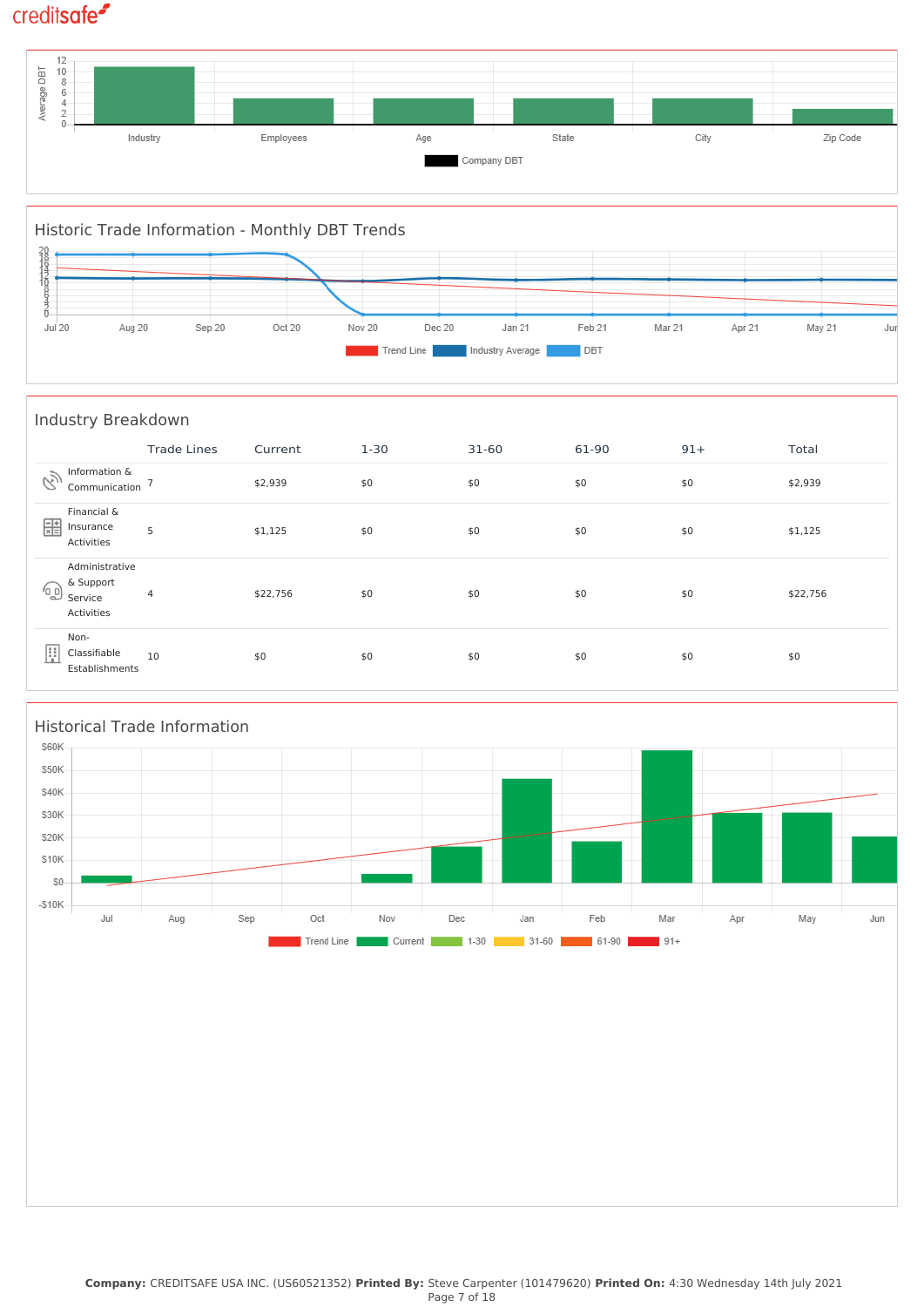



|            | Industry Breakdown                                   |                    |          |          |           |       |       |          |  |
|------------|------------------------------------------------------|--------------------|----------|----------|-----------|-------|-------|----------|--|
|            |                                                      | <b>Trade Lines</b> | Current  | $1 - 30$ | $31 - 60$ | 61-90 | $91+$ | Total    |  |
| È          | Information &<br>Communication '                     |                    | \$2,939  | \$0      | \$0       | \$0   | \$0   | \$2,939  |  |
| 噩          | Financial &<br>Insurance<br>Activities               | 5                  | \$1,125  | \$0      | \$0       | \$0   | \$0   | \$1,125  |  |
| $\sqrt{0}$ | Administrative<br>& Support<br>Service<br>Activities | 4                  | \$22,756 | \$0      | \$0       | \$0   | \$0   | \$22,756 |  |
| 圓          | Non-<br>Classifiable<br>Establishments               | 10                 | \$0      | \$0      | \$0       | \$0   | \$0   | \$0      |  |

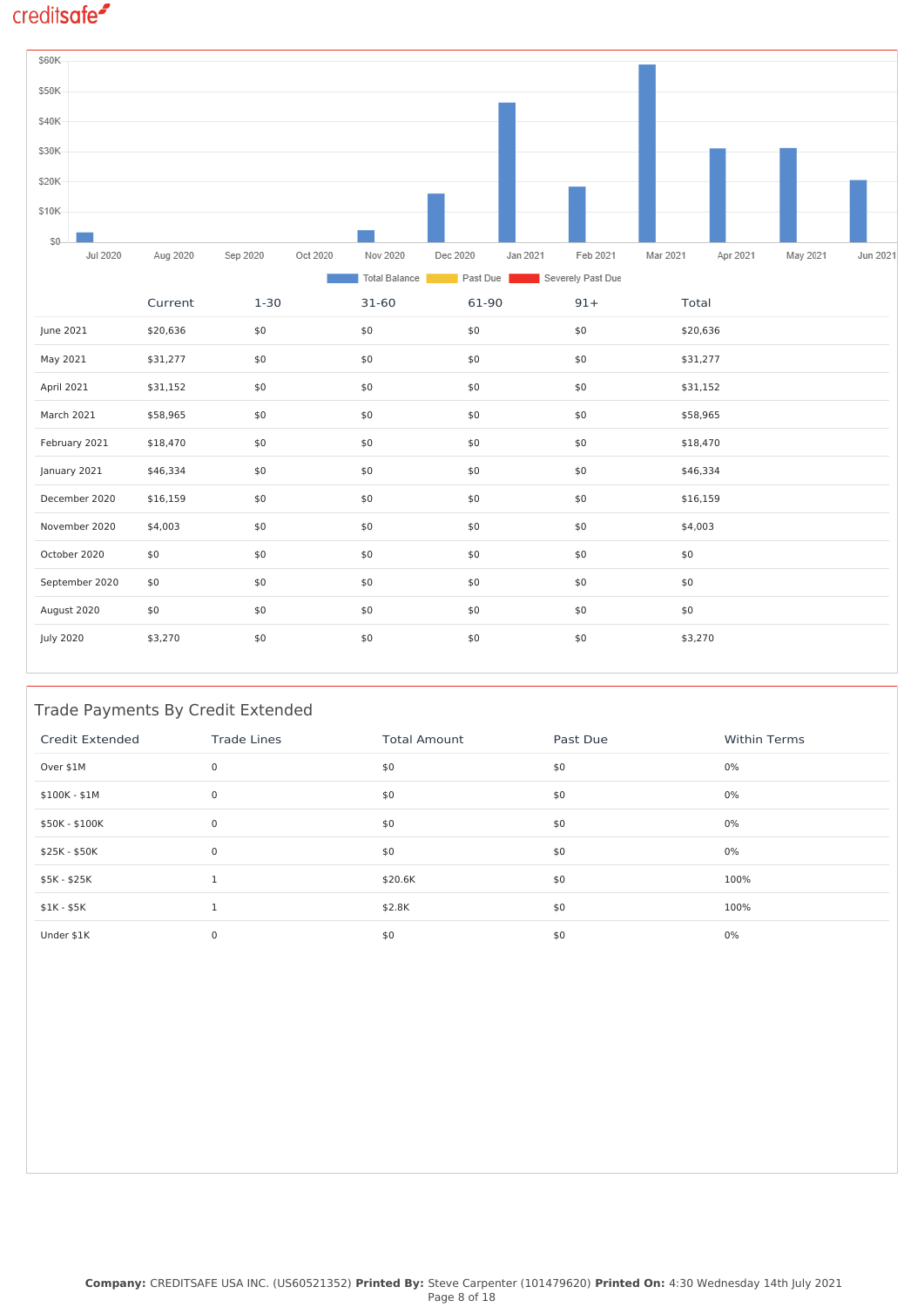

#### Trade Payments By Credit Extended

| Credit Extended | <b>Trade Lines</b> | <b>Total Amount</b> | Past Due | <b>Within Terms</b> |
|-----------------|--------------------|---------------------|----------|---------------------|
| Over \$1M       | $\mathbf 0$        | \$0                 | \$0      | $0\%$               |
| \$100K - \$1M   | $\mathbf 0$        | \$0                 | \$0      | 0%                  |
| \$50K - \$100K  | 0                  | \$0                 | \$0      | 0%                  |
| \$25K - \$50K   | $\mathbf 0$        | \$0                 | \$0      | 0%                  |
| \$5K - \$25K    |                    | \$20.6K             | \$0      | 100%                |
| $$1K - $5K$     |                    | \$2.8K              | \$0      | 100%                |
| Under \$1K      | $\mathbf 0$        | \$0                 | \$0      | 0%                  |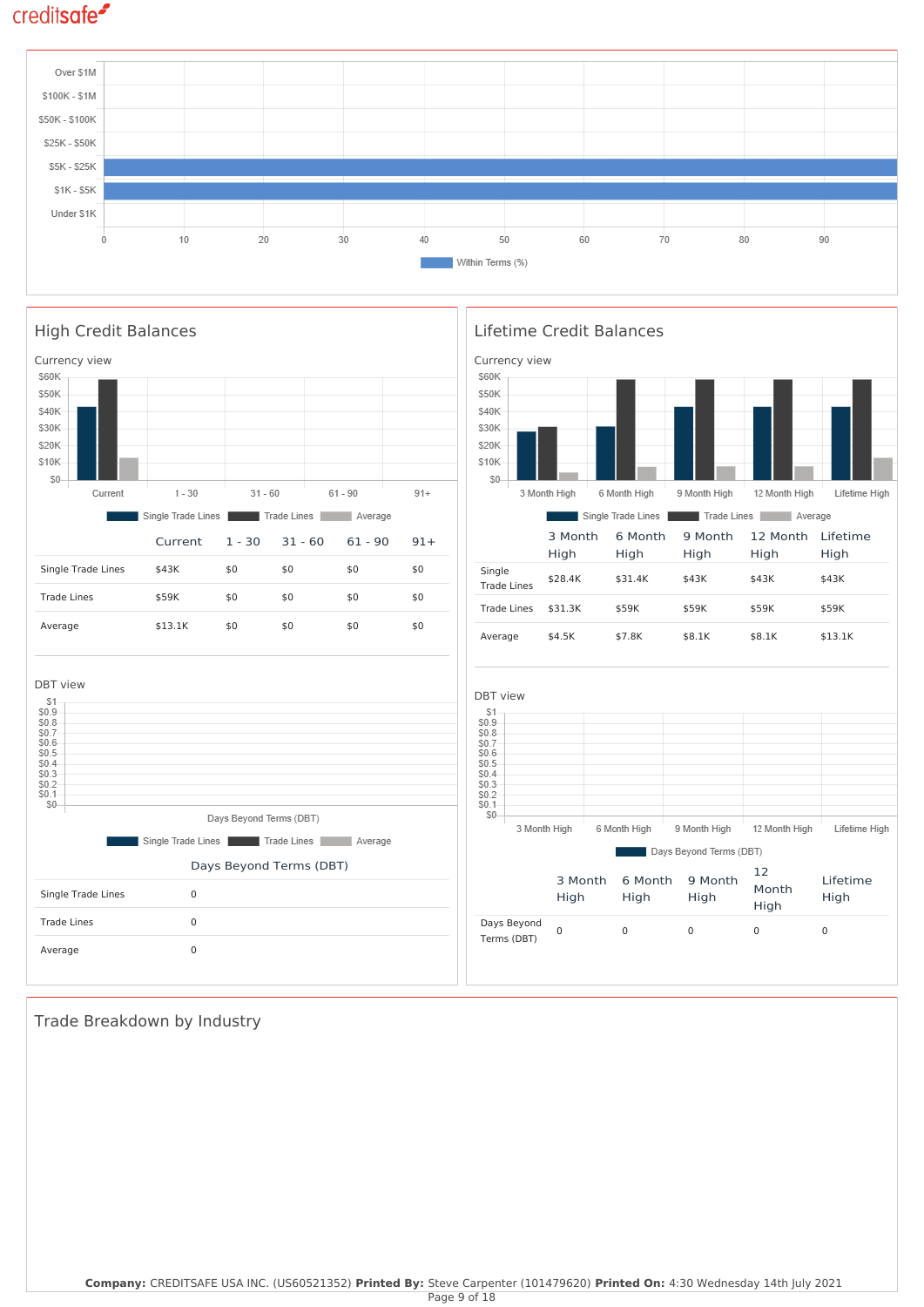

Lifetime High

Lifetime High

Lifetime High

Lifetime High



Trade Breakdown by Industry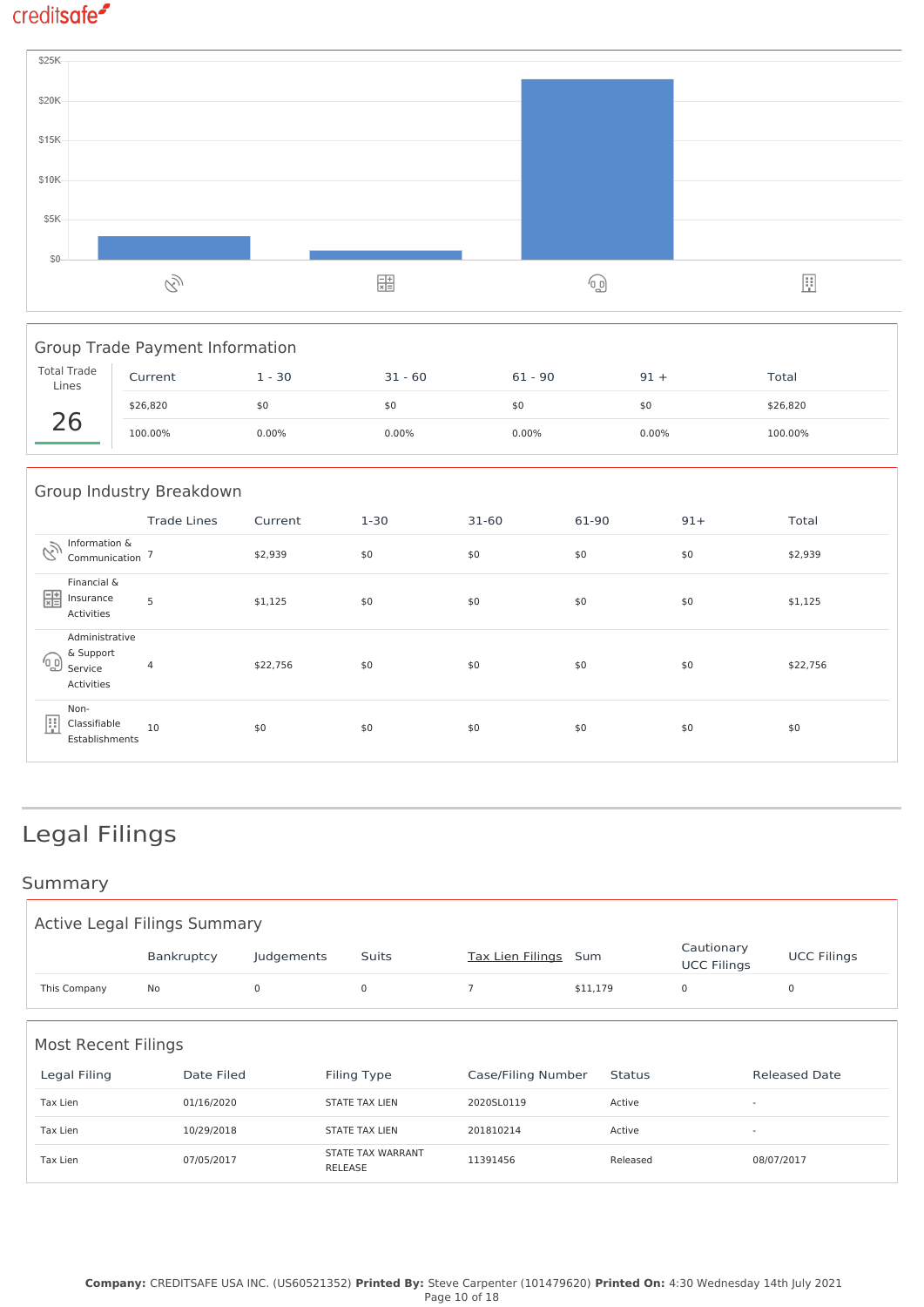

| <b>Group Trade Payment Information</b> |          |          |           |           |          |          |  |  |
|----------------------------------------|----------|----------|-----------|-----------|----------|----------|--|--|
| <b>Total Trade</b><br>Lines            | Current  | $1 - 30$ | $31 - 60$ | $61 - 90$ | $91 +$   | Total    |  |  |
|                                        | \$26,820 | \$0      | \$0       | \$0       | \$0      | \$26,820 |  |  |
|                                        | 100.00%  | 0.00%    | 0.00%     | $0.00\%$  | $0.00\%$ | 100.00%  |  |  |
|                                        |          |          |           |           |          |          |  |  |

| Group Industry Breakdown |                                                      |                    |          |          |           |       |       |          |
|--------------------------|------------------------------------------------------|--------------------|----------|----------|-----------|-------|-------|----------|
|                          |                                                      | <b>Trade Lines</b> | Current  | $1 - 30$ | $31 - 60$ | 61-90 | $91+$ | Total    |
| Q)                       | Information &<br>Communication                       |                    | \$2,939  | \$0      | \$0       | \$0   | \$0   | \$2,939  |
| 噩                        | Financial &<br>Insurance<br>Activities               | 5                  | \$1,125  | \$0      | \$0       | \$0   | \$0   | \$1,125  |
| 'ெ                       | Administrative<br>& Support<br>Service<br>Activities | 4                  | \$22,756 | \$0      | \$0       | \$0   | \$0   | \$22,756 |
| F                        | Non-<br>Classifiable<br>Establishments               | 10                 | \$0      | \$0      | \$0       | \$0   | \$0   | \$0      |

# Legal Filings

### Summary

| <b>Active Legal Filings Summary</b>                                                                                                    |            |            |                                     |                         |          |                                  |                    |  |
|----------------------------------------------------------------------------------------------------------------------------------------|------------|------------|-------------------------------------|-------------------------|----------|----------------------------------|--------------------|--|
|                                                                                                                                        | Bankruptcy | Judgements | Suits                               | <b>Tax Lien Filings</b> | Sum      | Cautionary<br><b>UCC Filings</b> | <b>UCC Filings</b> |  |
| This Company                                                                                                                           | No         | 0          | $\mathsf 0$                         | $\overline{7}$          | \$11,179 | 0                                | 0                  |  |
| <b>Most Recent Filings</b><br>Legal Filing<br>Date Filed<br>Filing Type<br>Case/Filing Number<br><b>Released Date</b><br><b>Status</b> |            |            |                                     |                         |          |                                  |                    |  |
| Tax Lien                                                                                                                               | 01/16/2020 |            | <b>STATE TAX LIEN</b>               | 2020SL0119              | Active   | $\overline{\phantom{a}}$         |                    |  |
| Tax Lien                                                                                                                               | 10/29/2018 |            | <b>STATE TAX LIEN</b>               | 201810214               | Active   | $\overline{\phantom{a}}$         |                    |  |
| Tax Lien                                                                                                                               | 07/05/2017 |            | STATE TAX WARRANT<br><b>RELEASE</b> | 11391456                | Released |                                  | 08/07/2017         |  |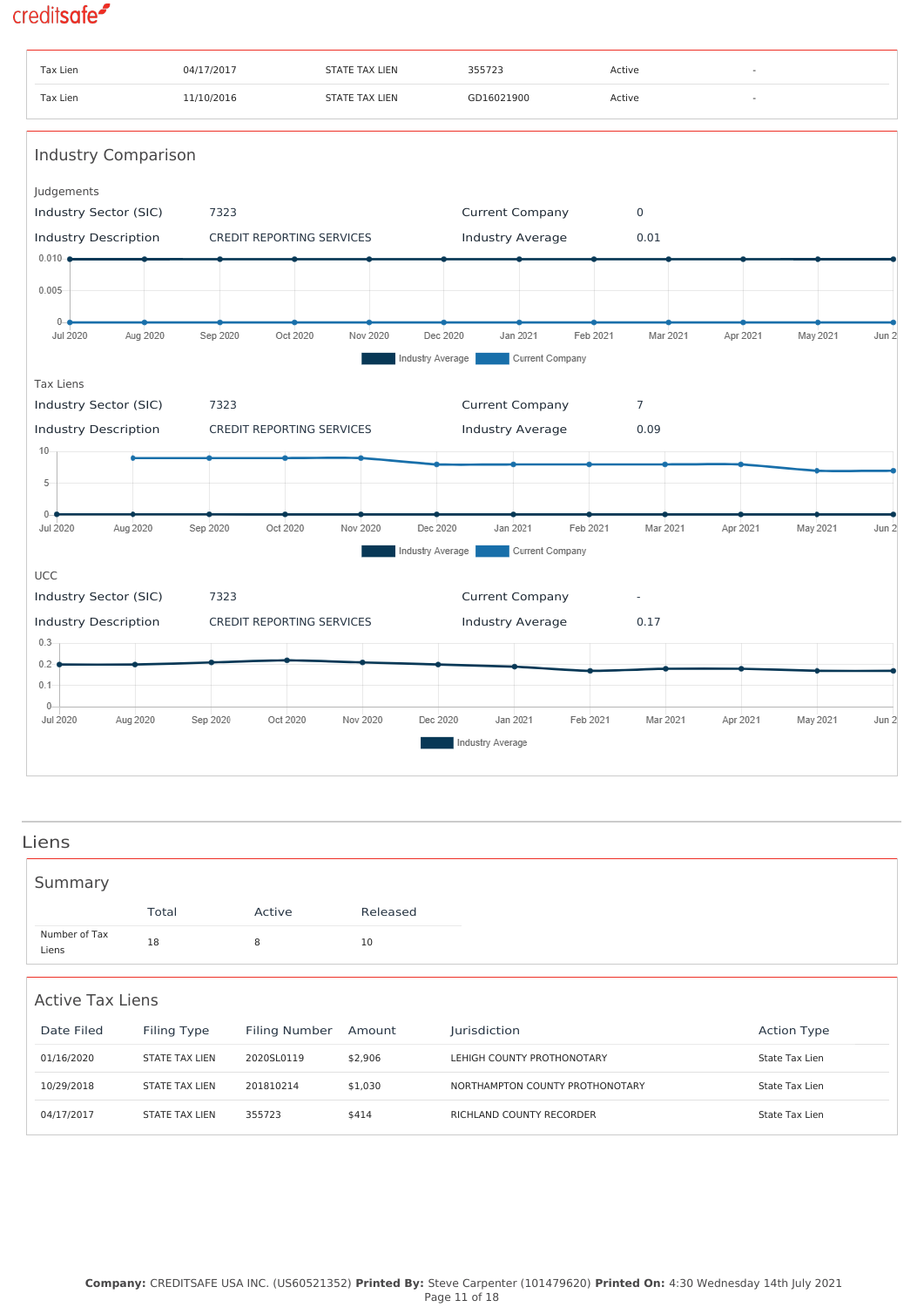

#### Liens

| Summary                |       |        |          |
|------------------------|-------|--------|----------|
|                        | Total | Active | Released |
| Number of Tax<br>Liens | 18    | 8      | 10       |

#### Active Tax Liens

| Date Filed | Filing Type           | Filing Number | Amount  | <b>Jurisdiction</b>             | <b>Action Type</b> |
|------------|-----------------------|---------------|---------|---------------------------------|--------------------|
| 01/16/2020 | <b>STATE TAX LIEN</b> | 2020SL0119    | \$2.906 | LEHIGH COUNTY PROTHONOTARY      | State Tax Lien     |
| 10/29/2018 | STATE TAX LIEN        | 201810214     | \$1,030 | NORTHAMPTON COUNTY PROTHONOTARY | State Tax Lien     |
| 04/17/2017 | <b>STATE TAX LIEN</b> | 355723        | \$414   | RICHLAND COUNTY RECORDER        | State Tax Lien     |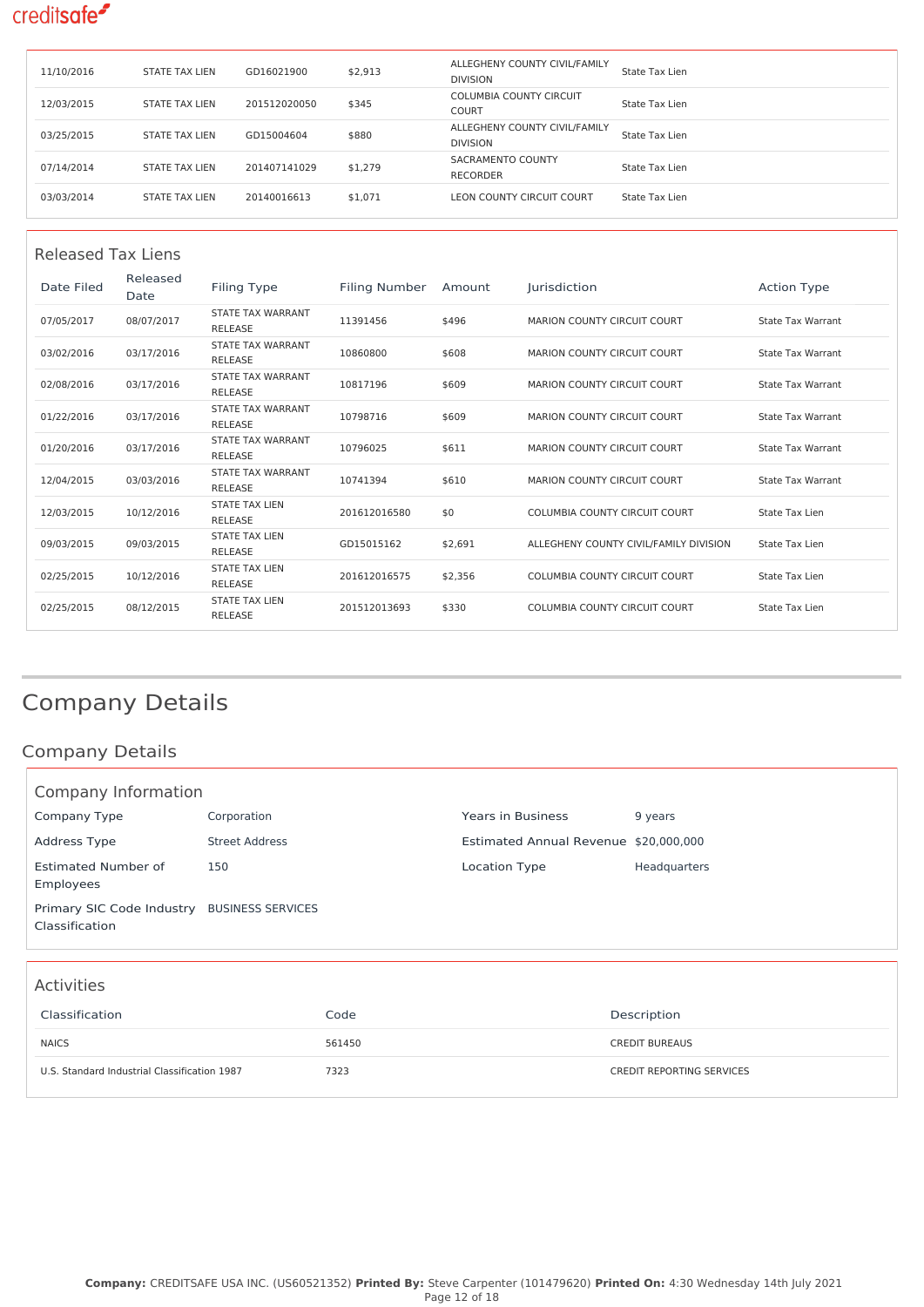| 11/10/2016 | <b>STATE TAX LIEN</b> | GD16021900   | \$2,913 | ALLEGHENY COUNTY CIVIL/FAMILY<br><b>DIVISION</b> | State Tax Lien |
|------------|-----------------------|--------------|---------|--------------------------------------------------|----------------|
| 12/03/2015 | <b>STATE TAX LIEN</b> | 201512020050 | \$345   | <b>COLUMBIA COUNTY CIRCUIT</b><br>COURT          | State Tax Lien |
| 03/25/2015 | <b>STATE TAX LIEN</b> | GD15004604   | \$880   | ALLEGHENY COUNTY CIVIL/FAMILY<br><b>DIVISION</b> | State Tax Lien |
| 07/14/2014 | <b>STATE TAX LIEN</b> | 201407141029 | \$1,279 | SACRAMENTO COUNTY<br><b>RECORDER</b>             | State Tax Lien |
| 03/03/2014 | <b>STATE TAX LIEN</b> | 20140016613  | \$1,071 | LEON COUNTY CIRCUIT COURT                        | State Tax Lien |

| Released Tax Liens |                  |                                            |                      |         |                                        |                          |  |  |
|--------------------|------------------|--------------------------------------------|----------------------|---------|----------------------------------------|--------------------------|--|--|
| Date Filed         | Released<br>Date | Filing Type                                | <b>Filing Number</b> | Amount  | Jurisdiction                           | <b>Action Type</b>       |  |  |
| 07/05/2017         | 08/07/2017       | STATE TAX WARRANT<br><b>RELEASE</b>        | 11391456             | \$496   | MARION COUNTY CIRCUIT COURT            | <b>State Tax Warrant</b> |  |  |
| 03/02/2016         | 03/17/2016       | STATE TAX WARRANT<br><b>RELEASE</b>        | 10860800             | \$608   | MARION COUNTY CIRCUIT COURT            | State Tax Warrant        |  |  |
| 02/08/2016         | 03/17/2016       | STATE TAX WARRANT<br><b>RELEASE</b>        | 10817196             | \$609   | MARION COUNTY CIRCUIT COURT            | <b>State Tax Warrant</b> |  |  |
| 01/22/2016         | 03/17/2016       | STATE TAX WARRANT<br><b>RELEASE</b>        | 10798716             | \$609   | MARION COUNTY CIRCUIT COURT            | <b>State Tax Warrant</b> |  |  |
| 01/20/2016         | 03/17/2016       | STATE TAX WARRANT<br><b>RELEASE</b>        | 10796025             | \$611   | MARION COUNTY CIRCUIT COURT            | <b>State Tax Warrant</b> |  |  |
| 12/04/2015         | 03/03/2016       | <b>STATE TAX WARRANT</b><br><b>RELEASE</b> | 10741394             | \$610   | MARION COUNTY CIRCUIT COURT            | <b>State Tax Warrant</b> |  |  |
| 12/03/2015         | 10/12/2016       | <b>STATE TAX LIEN</b><br><b>RELEASE</b>    | 201612016580         | \$0     | <b>COLUMBIA COUNTY CIRCUIT COURT</b>   | State Tax Lien           |  |  |
| 09/03/2015         | 09/03/2015       | <b>STATE TAX LIEN</b><br><b>RELEASE</b>    | GD15015162           | \$2,691 | ALLEGHENY COUNTY CIVIL/FAMILY DIVISION | State Tax Lien           |  |  |
| 02/25/2015         | 10/12/2016       | <b>STATE TAX LIEN</b><br><b>RELEASE</b>    | 201612016575         | \$2,356 | COLUMBIA COUNTY CIRCUIT COURT          | State Tax Lien           |  |  |
| 02/25/2015         | 08/12/2015       | <b>STATE TAX LIEN</b><br><b>RELEASE</b>    | 201512013693         | \$330   | COLUMBIA COUNTY CIRCUIT COURT          | State Tax Lien           |  |  |

# Company Details

### Company Details

| Company Information                                           |                |                                       |              |  |  |  |  |
|---------------------------------------------------------------|----------------|---------------------------------------|--------------|--|--|--|--|
| Company Type                                                  | Corporation    | <b>Years in Business</b>              | 9 years      |  |  |  |  |
| Address Type                                                  | Street Address | Estimated Annual Revenue \$20,000,000 |              |  |  |  |  |
| Estimated Number of<br>Employees                              | 150            | Location Type                         | Headquarters |  |  |  |  |
| Primary SIC Code Industry BUSINESS SERVICES<br>Classification |                |                                       |              |  |  |  |  |
|                                                               |                |                                       |              |  |  |  |  |

### Activities

| Classification                               | Code   | Description               |
|----------------------------------------------|--------|---------------------------|
| <b>NAICS</b>                                 | 561450 | <b>CREDIT BUREAUS</b>     |
| U.S. Standard Industrial Classification 1987 | 7323   | CREDIT REPORTING SERVICES |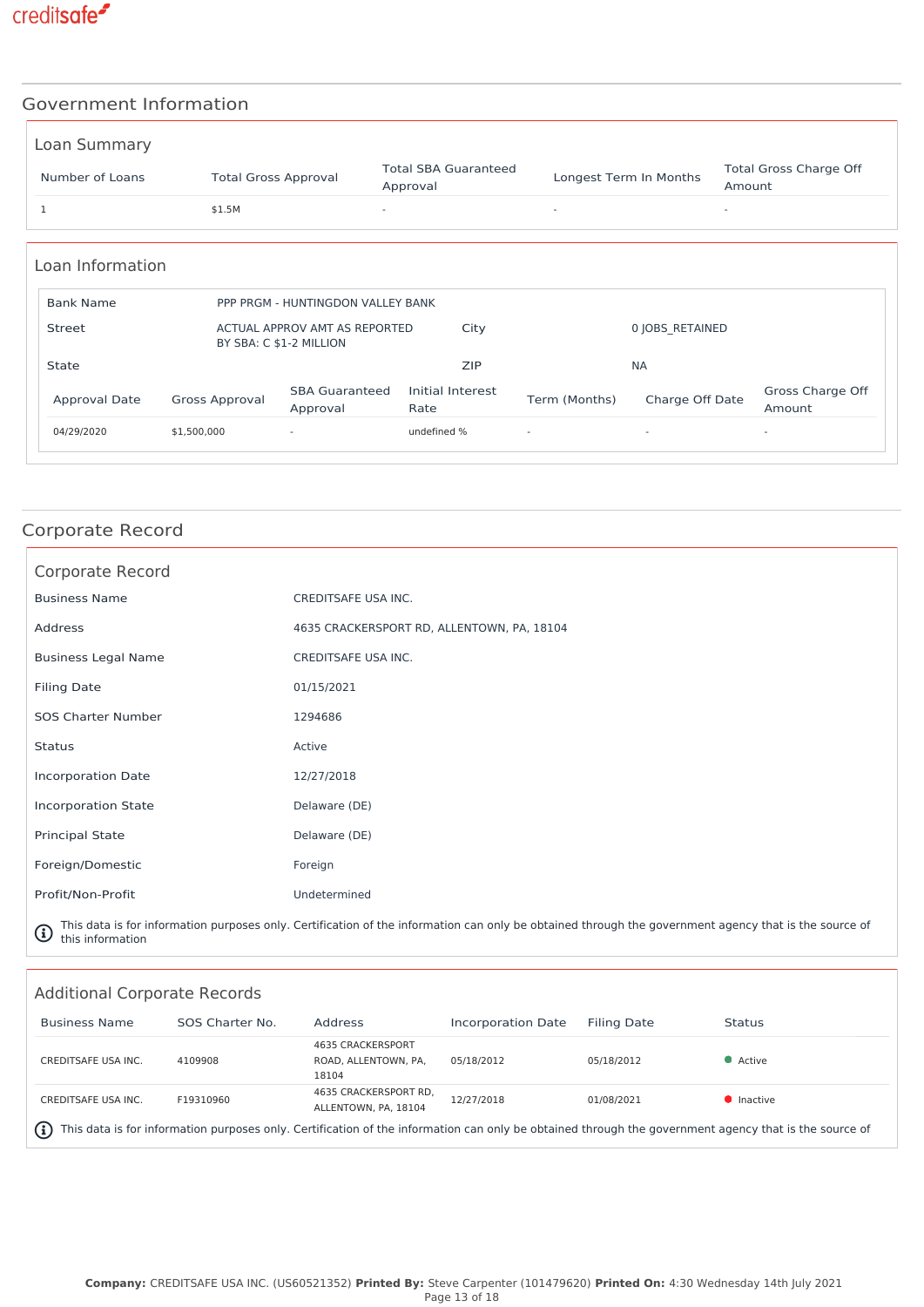

#### Government Information

| Loan Summary    |                             |                                         |                        |                                         |
|-----------------|-----------------------------|-----------------------------------------|------------------------|-----------------------------------------|
| Number of Loans | <b>Total Gross Approval</b> | <b>Total SBA Guaranteed</b><br>Approval | Longest Term In Months | <b>Total Gross Charge Off</b><br>Amount |
|                 | \$1.5M                      |                                         |                        |                                         |
|                 |                             |                                         |                        |                                         |

| Loan Information |                                   |                                                          |                          |                          |                          |                            |  |  |
|------------------|-----------------------------------|----------------------------------------------------------|--------------------------|--------------------------|--------------------------|----------------------------|--|--|
| <b>Bank Name</b> | PPP PRGM - HUNTINGDON VALLEY BANK |                                                          |                          |                          |                          |                            |  |  |
| Street           |                                   | ACTUAL APPROV AMT AS REPORTED<br>BY SBA: C \$1-2 MILLION | City                     |                          | 0 JOBS RETAINED          |                            |  |  |
| State            |                                   |                                                          | <b>ZIP</b>               |                          | <b>NA</b>                |                            |  |  |
| Approval Date    | Gross Approval                    | <b>SBA Guaranteed</b><br>Approval                        | Initial Interest<br>Rate | Term (Months)            | Charge Off Date          | Gross Charge Off<br>Amount |  |  |
| 04/29/2020       | \$1,500,000                       | $\overline{\phantom{a}}$                                 | undefined %              | $\overline{\phantom{a}}$ | $\overline{\phantom{a}}$ | $\overline{\phantom{a}}$   |  |  |
|                  |                                   |                                                          |                          |                          |                          |                            |  |  |

### Corporate Record

| Corporate Record           |                                                                                                                                             |
|----------------------------|---------------------------------------------------------------------------------------------------------------------------------------------|
| <b>Business Name</b>       | CREDITSAFE USA INC.                                                                                                                         |
| Address                    | 4635 CRACKERSPORT RD, ALLENTOWN, PA, 18104                                                                                                  |
| <b>Business Legal Name</b> | CREDITSAFE USA INC.                                                                                                                         |
| <b>Filing Date</b>         | 01/15/2021                                                                                                                                  |
| <b>SOS Charter Number</b>  | 1294686                                                                                                                                     |
| <b>Status</b>              | Active                                                                                                                                      |
| <b>Incorporation Date</b>  | 12/27/2018                                                                                                                                  |
| <b>Incorporation State</b> | Delaware (DE)                                                                                                                               |
| <b>Principal State</b>     | Delaware (DE)                                                                                                                               |
| Foreign/Domestic           | Foreign                                                                                                                                     |
| Profit/Non-Profit          | Undetermined                                                                                                                                |
|                            | This deal is further assessment to be a subset of the information of a starter detection that are accompanied as a starter of the second of |

 $\mathbb G$  This data is for information purposes only. Certification of the information can only be obtained through the government agency that is the source of<br>Ithis information this information

| <b>Additional Corporate Records</b>                                                                                                                               |                 |                                                    |                    |             |                    |  |  |  |
|-------------------------------------------------------------------------------------------------------------------------------------------------------------------|-----------------|----------------------------------------------------|--------------------|-------------|--------------------|--|--|--|
| <b>Business Name</b>                                                                                                                                              | SOS Charter No. | Address                                            | Incorporation Date | Filing Date | <b>Status</b>      |  |  |  |
| CREDITSAFE USA INC.                                                                                                                                               | 4109908         | 4635 CRACKERSPORT<br>ROAD, ALLENTOWN, PA.<br>18104 | 05/18/2012         | 05/18/2012  | • Active           |  |  |  |
| <b>CREDITSAFE USA INC.</b>                                                                                                                                        | F19310960       | 4635 CRACKERSPORT RD.<br>ALLENTOWN, PA. 18104      | 12/27/2018         | 01/08/2021  | $\bullet$ Inactive |  |  |  |
| This data is for information purposes only. Certification of the information can only be obtained through the government agency that is the source of<br>$\bf(i)$ |                 |                                                    |                    |             |                    |  |  |  |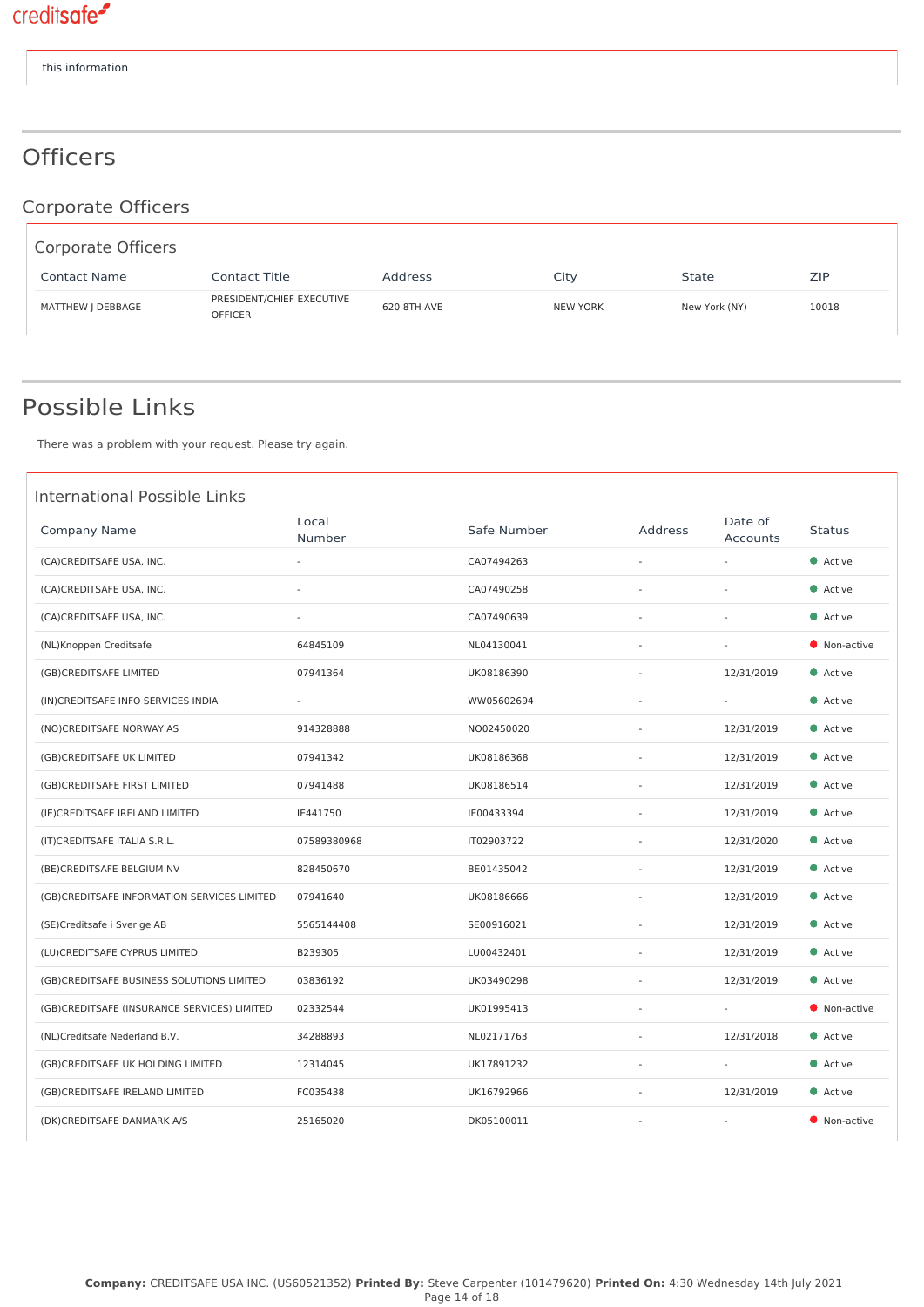# **Officers**

Corporate Officers

| Corporate Officers  |                                             |             |                 |               |       |
|---------------------|---------------------------------------------|-------------|-----------------|---------------|-------|
| <b>Contact Name</b> | Contact Title                               | Address     | City            | State         | ZIP   |
| MATTHEW J DEBBAGE   | PRESIDENT/CHIEF EXECUTIVE<br><b>OFFICER</b> | 620 8TH AVE | <b>NEW YORK</b> | New York (NY) | 10018 |

### Possible Links

There was a problem with your request. Please try again.

| <b>International Possible Links</b>         |                          |             |                |                          |               |
|---------------------------------------------|--------------------------|-------------|----------------|--------------------------|---------------|
| Company Name                                | Local<br>Number          | Safe Number | <b>Address</b> | Date of<br>Accounts      | <b>Status</b> |
| (CA)CREDITSAFE USA, INC.                    | $\overline{\phantom{a}}$ | CA07494263  | ÷,             | $\sim$                   | • Active      |
| (CA)CREDITSAFE USA, INC.                    |                          | CA07490258  |                |                          | Active        |
| (CA)CREDITSAFE USA, INC.                    |                          | CA07490639  |                |                          | Active        |
| (NL)Knoppen Creditsafe                      | 64845109                 | NL04130041  | ÷,             |                          | Non-active    |
| (GB)CREDITSAFE LIMITED                      | 07941364                 | UK08186390  |                | 12/31/2019               | • Active      |
| (IN)CREDITSAFE INFO SERVICES INDIA          | ÷.                       | WW05602694  |                | $\sim$                   | Active        |
| (NO)CREDITSAFE NORWAY AS                    | 914328888                | NO02450020  |                | 12/31/2019               | Active        |
| (GB)CREDITSAFE UK LIMITED                   | 07941342                 | UK08186368  | $\bar{a}$      | 12/31/2019               | Active        |
| (GB)CREDITSAFE FIRST LIMITED                | 07941488                 | UK08186514  | $\sim$         | 12/31/2019               | Active        |
| (IE) CREDITSAFE IRELAND LIMITED             | IE441750                 | IE00433394  |                | 12/31/2019               | Active        |
| (IT)CREDITSAFE ITALIA S.R.L.                | 07589380968              | IT02903722  |                | 12/31/2020               | Active        |
| (BE)CREDITSAFE BELGIUM NV                   | 828450670                | BE01435042  |                | 12/31/2019               | Active        |
| (GB)CREDITSAFE INFORMATION SERVICES LIMITED | 07941640                 | UK08186666  |                | 12/31/2019               | Active        |
| (SE)Creditsafe i Sverige AB                 | 5565144408               | SE00916021  | $\sim$         | 12/31/2019               | Active        |
| (LU)CREDITSAFE CYPRUS LIMITED               | B239305                  | LU00432401  |                | 12/31/2019               | Active        |
| (GB)CREDITSAFE BUSINESS SOLUTIONS LIMITED   | 03836192                 | UK03490298  |                | 12/31/2019               | • Active      |
| (GB)CREDITSAFE (INSURANCE SERVICES) LIMITED | 02332544                 | UK01995413  | ä,             | $\overline{\phantom{a}}$ | Non-active    |
| (NL)Creditsafe Nederland B.V.               | 34288893                 | NL02171763  |                | 12/31/2018               | • Active      |
| (GB)CREDITSAFE UK HOLDING LIMITED           | 12314045                 | UK17891232  | $\sim$         | $\sim$                   | Active        |
| (GB)CREDITSAFE IRELAND LIMITED              | FC035438                 | UK16792966  |                | 12/31/2019               | • Active      |
| (DK)CREDITSAFE DANMARK A/S                  | 25165020                 | DK05100011  |                |                          | Non-active    |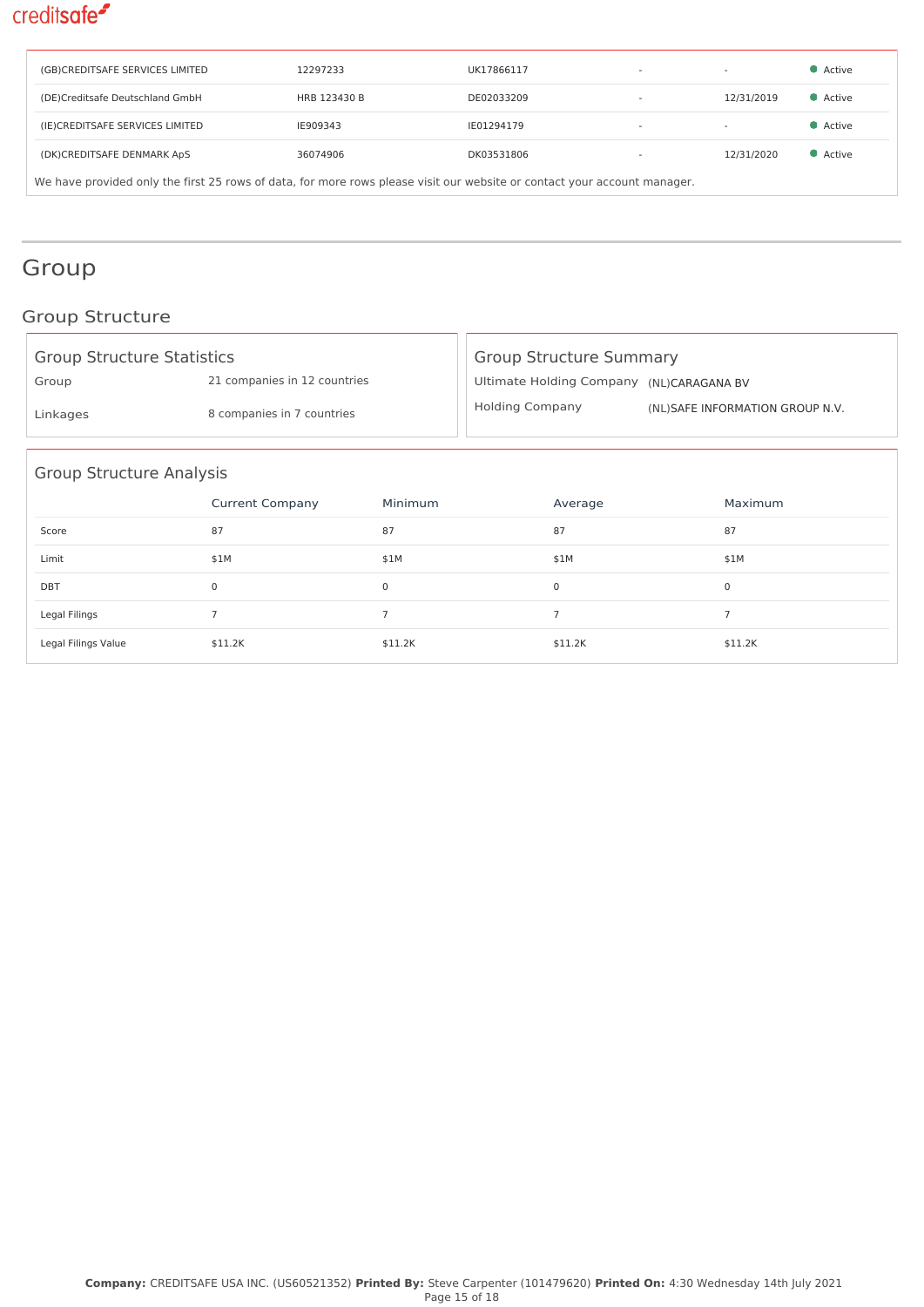| (GB)CREDITSAFE SERVICES LIMITED                                                                                          | 12297233     | UK17866117 | $\overline{\phantom{a}}$ |            | • Active |  |
|--------------------------------------------------------------------------------------------------------------------------|--------------|------------|--------------------------|------------|----------|--|
| (DE)Creditsafe Deutschland GmbH                                                                                          | HRB 123430 B | DE02033209 |                          | 12/31/2019 | • Active |  |
| (IE)CREDITSAFE SERVICES LIMITED                                                                                          | IE909343     | IE01294179 | $\overline{\phantom{a}}$ |            | • Active |  |
| (DK)CREDITSAFE DENMARK ApS                                                                                               | 36074906     | DK03531806 |                          | 12/31/2020 | • Active |  |
| We have provided only the first 25 rows of data, for more rows please visit our website or contact your account manager. |              |            |                          |            |          |  |

# Group

### Group Structure

| <b>Group Structure Statistics</b> |                              |                | <b>Group Structure Summary</b>           |                |  |                                 |  |
|-----------------------------------|------------------------------|----------------|------------------------------------------|----------------|--|---------------------------------|--|
| Group                             | 21 companies in 12 countries |                | Ultimate Holding Company (NL)CARAGANA BV |                |  |                                 |  |
| Linkages                          | 8 companies in 7 countries   |                | <b>Holding Company</b>                   |                |  | (NL)SAFE INFORMATION GROUP N.V. |  |
| <b>Group Structure Analysis</b>   |                              |                |                                          |                |  |                                 |  |
|                                   | <b>Current Company</b>       | Minimum        |                                          | Average        |  | Maximum                         |  |
| Score                             | 87                           | 87             |                                          | 87             |  | 87                              |  |
| Limit                             | \$1M                         | \$1M           |                                          | \$1M           |  | \$1M                            |  |
| <b>DBT</b>                        | 0                            | 0              |                                          | $\mathbf 0$    |  | 0                               |  |
| Legal Filings                     | $\overline{7}$               | $\overline{7}$ |                                          | $\overline{7}$ |  | $\overline{7}$                  |  |
| Legal Filings Value               | \$11.2K                      | \$11.2K        |                                          | \$11.2K        |  | \$11.2K                         |  |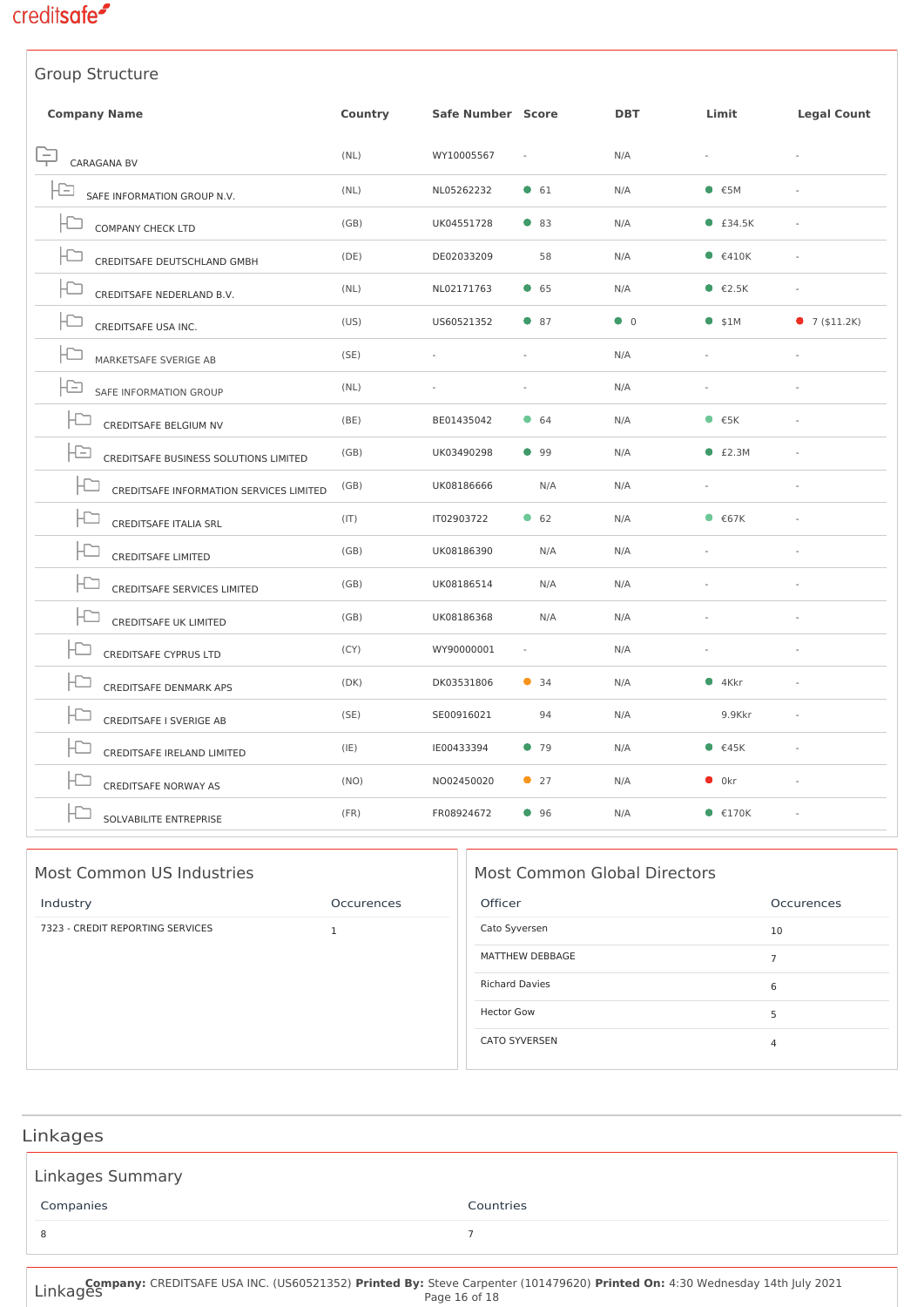

| Group Structure                               |         |                   |              |             |                                     |                    |
|-----------------------------------------------|---------|-------------------|--------------|-------------|-------------------------------------|--------------------|
| <b>Company Name</b>                           | Country | Safe Number Score |              | <b>DBT</b>  | Limit                               | <b>Legal Count</b> |
| CARAGANA BV                                   | (NL)    | WY10005567        |              | N/A         | $\omega$                            |                    |
| SAFE INFORMATION GROUP N.V.                   | (NL)    | NL05262232        | $\bullet$ 61 | N/A         | • 5M                                | ä,                 |
| COMPANY CHECK LTD                             | (GB)    | UK04551728        | ● 83         | N/A         | $E$ £34.5K                          |                    |
| CREDITSAFE DEUTSCHLAND GMBH                   | (DE)    | DE02033209        | 58           | N/A         | $\bullet$ $\epsilon$ 410K           |                    |
| CREDITSAFE NEDERLAND B.V.                     | (NL)    | NL02171763        | 65           | N/A         | $\bullet$ $\epsilon$ 2.5K           |                    |
| CREDITSAFE USA INC.                           | (US)    | US60521352        | $\bullet$ 87 | $\bullet$ 0 | $•$ \$1M                            | 97(511.2K)         |
| MARKETSAFE SVERIGE AB                         | (SE)    | ÷,                |              | N/A         | $\sim$                              | ä,                 |
| -13<br>SAFE INFORMATION GROUP                 | (NL)    |                   |              | N/A         |                                     |                    |
| <b>IC</b><br>CREDITSAFE BELGIUM NV            | (BE)    | BE01435042        | $\bullet$ 64 | N/A         | $\bullet$ $\epsilon$ <sub>5</sub> K |                    |
| IÐ<br>CREDITSAFE BUSINESS SOLUTIONS LIMITED   | (GB)    | UK03490298        | 99           | N/A         | • E2.3M                             |                    |
| CREDITSAFE INFORMATION SERVICES LIMITED       | (GB)    | UK08186666        | N/A          | N/A         |                                     |                    |
| CREDITSAFE ITALIA SRL                         | (IT)    | IT02903722        | 62           | N/A         | $\bullet$ $\epsilon$ 67K            |                    |
| HC-<br><b>CREDITSAFE LIMITED</b>              | (GB)    | UK08186390        | N/A          | N/A         |                                     |                    |
| CREDITSAFE SERVICES LIMITED                   | (GB)    | UK08186514        | N/A          | N/A         |                                     |                    |
| <b>CREDITSAFE UK LIMITED</b>                  | (GB)    | UK08186368        | N/A          | N/A         |                                     |                    |
| <b>CREDITSAFE CYPRUS LTD</b>                  | (CY)    | WY90000001        |              | N/A         |                                     |                    |
| HC-<br><b>CREDITSAFE DENMARK APS</b>          | (DK)    | DK03531806        | $\bullet$ 34 | N/A         | •4Kkr                               |                    |
| CREDITSAFE I SVERIGE AB                       | (SE)    | SE00916021        | 94           | N/A         | 9.9Kkr                              |                    |
| $\vdash \simeq$<br>CREDITSAFE IRELAND LIMITED | (IE)    | IE00433394        | 979          | N/A         | • 645K                              |                    |
| <b>CREDITSAFE NORWAY AS</b>                   | (NO)    | NO02450020        | $\bullet$ 27 | N/A         | $\bullet$ 0kr                       |                    |
| SOLVABILITE ENTREPRISE                        | (FR)    | FR08924672        | 96           | N/A         | $\bullet$ $\epsilon$ 170K           |                    |

| Most Common US Industries        |              |  |  |  |  |  |
|----------------------------------|--------------|--|--|--|--|--|
| Industry                         | Occurences   |  |  |  |  |  |
| 7323 - CREDIT REPORTING SERVICES | $\mathbf{1}$ |  |  |  |  |  |

#### Most Common Global Directors

| Officer               | Occurences     |
|-----------------------|----------------|
| Cato Syversen         | 10             |
| MATTHEW DEBBAGE       | 7              |
| <b>Richard Davies</b> | 6              |
| <b>Hector Gow</b>     | 5              |
| <b>CATO SYVERSEN</b>  | $\overline{4}$ |

# Linkages Linkages Summary Companies Countries 8 a *1*

Linkages **Company:** CREDITSAFE USA INC. (US60521352) **Printed By:** Steve Carpenter (101479620) **Printed On:** 4:30 Wednesday 14th July 2021 Page 16 of 18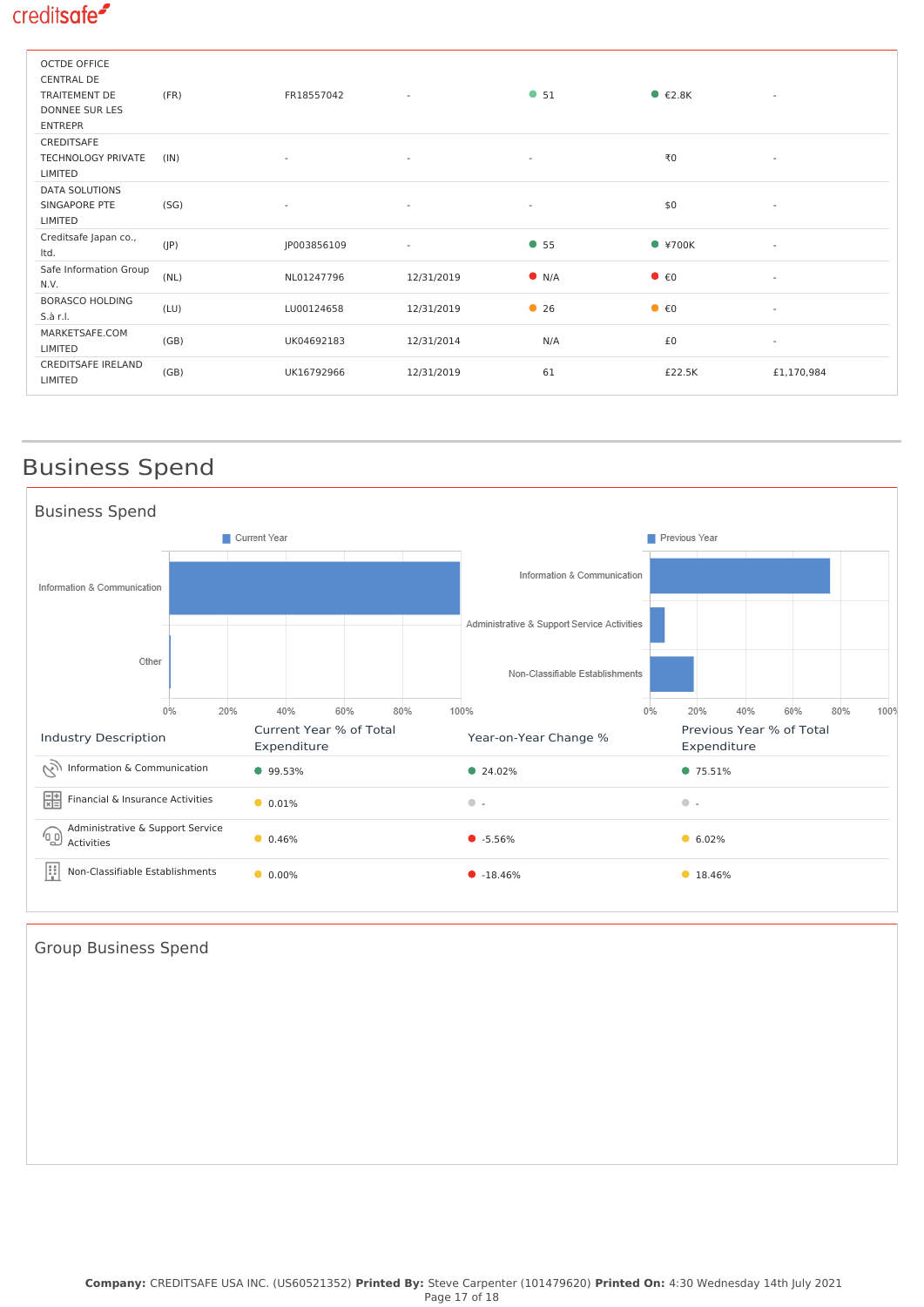| <b>OCTDE OFFICE</b><br><b>CENTRAL DE</b><br>TRAITEMENT DE<br><b>DONNEE SUR LES</b><br><b>ENTREPR</b> | (FR) | FR18557042  | $\overline{\phantom{a}}$ | • 51                     | $\bullet$ $\epsilon$ 2.8K         | $\sim$                   |
|------------------------------------------------------------------------------------------------------|------|-------------|--------------------------|--------------------------|-----------------------------------|--------------------------|
| CREDITSAFE<br><b>TECHNOLOGY PRIVATE</b><br>LIMITED                                                   | (IN) | ٠           | $\overline{\phantom{a}}$ | $\overline{\phantom{a}}$ | ₹0                                | $\overline{\phantom{a}}$ |
| DATA SOLUTIONS<br>SINGAPORE PTE<br>LIMITED                                                           | (SG) | ٠           | $\sim$                   | $\sim$                   | \$0                               | $\overline{\phantom{a}}$ |
| Creditsafe Japan co.,<br>Itd.                                                                        | (IP) | JP003856109 | $\overline{\phantom{a}}$ | • 55                     | $*700K$                           | $\overline{\phantom{a}}$ |
| Safe Information Group<br>N.V.                                                                       | (NL) | NL01247796  | 12/31/2019               | $\bullet$ N/A            | $\bullet$ $\epsilon$ <sup>0</sup> | $\sim$                   |
| <b>BORASCO HOLDING</b><br>S.à r.l.                                                                   | (LU) | LU00124658  | 12/31/2019               | • 26                     | $\bullet$ $\epsilon$ <sup>0</sup> | $\sim$                   |
| MARKETSAFE.COM<br>LIMITED                                                                            | (GB) | UK04692183  | 12/31/2014               | N/A                      | £0                                | $\sim$                   |
| <b>CREDITSAFE IRELAND</b><br>LIMITED                                                                 | (GB) | UK16792966  | 12/31/2019               | 61                       | £22.5K                            | £1,170,984               |

# Business Spend



Group Business Spend